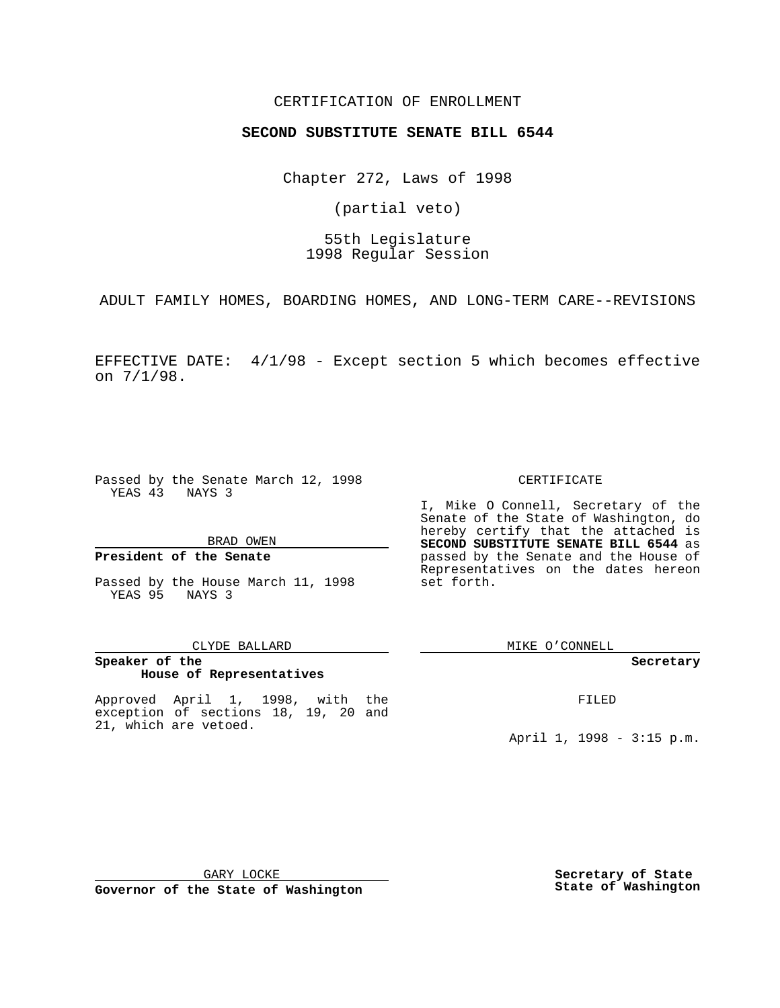## CERTIFICATION OF ENROLLMENT

# **SECOND SUBSTITUTE SENATE BILL 6544**

Chapter 272, Laws of 1998

(partial veto)

55th Legislature 1998 Regular Session

ADULT FAMILY HOMES, BOARDING HOMES, AND LONG-TERM CARE--REVISIONS

EFFECTIVE DATE: 4/1/98 - Except section 5 which becomes effective on 7/1/98.

Passed by the Senate March 12, 1998 YEAS 43 NAYS 3

#### BRAD OWEN

### **President of the Senate**

Passed by the House March 11, 1998 YEAS 95 NAYS 3

#### CLYDE BALLARD

## **Speaker of the House of Representatives**

Approved April 1, 1998, with the exception of sections 18, 19, 20 and 21, which are vetoed.

#### CERTIFICATE

I, Mike O Connell, Secretary of the Senate of the State of Washington, do hereby certify that the attached is **SECOND SUBSTITUTE SENATE BILL 6544** as passed by the Senate and the House of Representatives on the dates hereon set forth.

MIKE O'CONNELL

#### **Secretary**

FILED

April 1, 1998 - 3:15 p.m.

GARY LOCKE

**Governor of the State of Washington**

**Secretary of State State of Washington**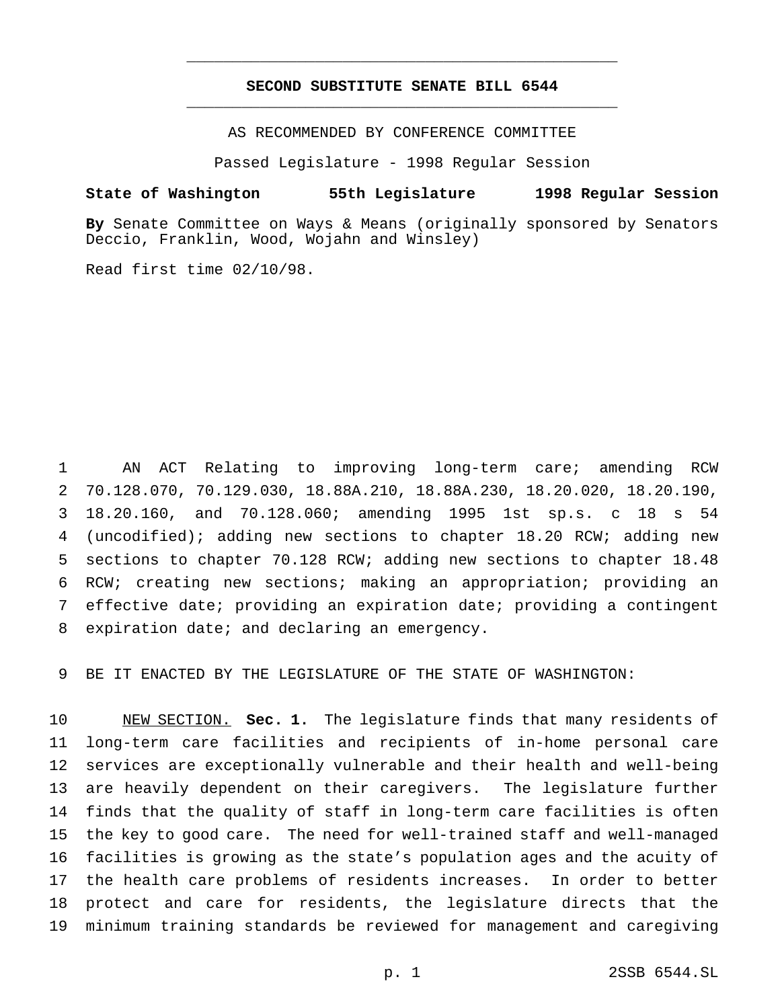## **SECOND SUBSTITUTE SENATE BILL 6544** \_\_\_\_\_\_\_\_\_\_\_\_\_\_\_\_\_\_\_\_\_\_\_\_\_\_\_\_\_\_\_\_\_\_\_\_\_\_\_\_\_\_\_\_\_\_\_

\_\_\_\_\_\_\_\_\_\_\_\_\_\_\_\_\_\_\_\_\_\_\_\_\_\_\_\_\_\_\_\_\_\_\_\_\_\_\_\_\_\_\_\_\_\_\_

AS RECOMMENDED BY CONFERENCE COMMITTEE

Passed Legislature - 1998 Regular Session

#### **State of Washington 55th Legislature 1998 Regular Session**

**By** Senate Committee on Ways & Means (originally sponsored by Senators Deccio, Franklin, Wood, Wojahn and Winsley)

Read first time 02/10/98.

 AN ACT Relating to improving long-term care; amending RCW 70.128.070, 70.129.030, 18.88A.210, 18.88A.230, 18.20.020, 18.20.190, 18.20.160, and 70.128.060; amending 1995 1st sp.s. c 18 s 54 (uncodified); adding new sections to chapter 18.20 RCW; adding new sections to chapter 70.128 RCW; adding new sections to chapter 18.48 RCW; creating new sections; making an appropriation; providing an effective date; providing an expiration date; providing a contingent expiration date; and declaring an emergency.

BE IT ENACTED BY THE LEGISLATURE OF THE STATE OF WASHINGTON:

 NEW SECTION. **Sec. 1.** The legislature finds that many residents of long-term care facilities and recipients of in-home personal care services are exceptionally vulnerable and their health and well-being are heavily dependent on their caregivers. The legislature further finds that the quality of staff in long-term care facilities is often the key to good care. The need for well-trained staff and well-managed facilities is growing as the state's population ages and the acuity of the health care problems of residents increases. In order to better protect and care for residents, the legislature directs that the minimum training standards be reviewed for management and caregiving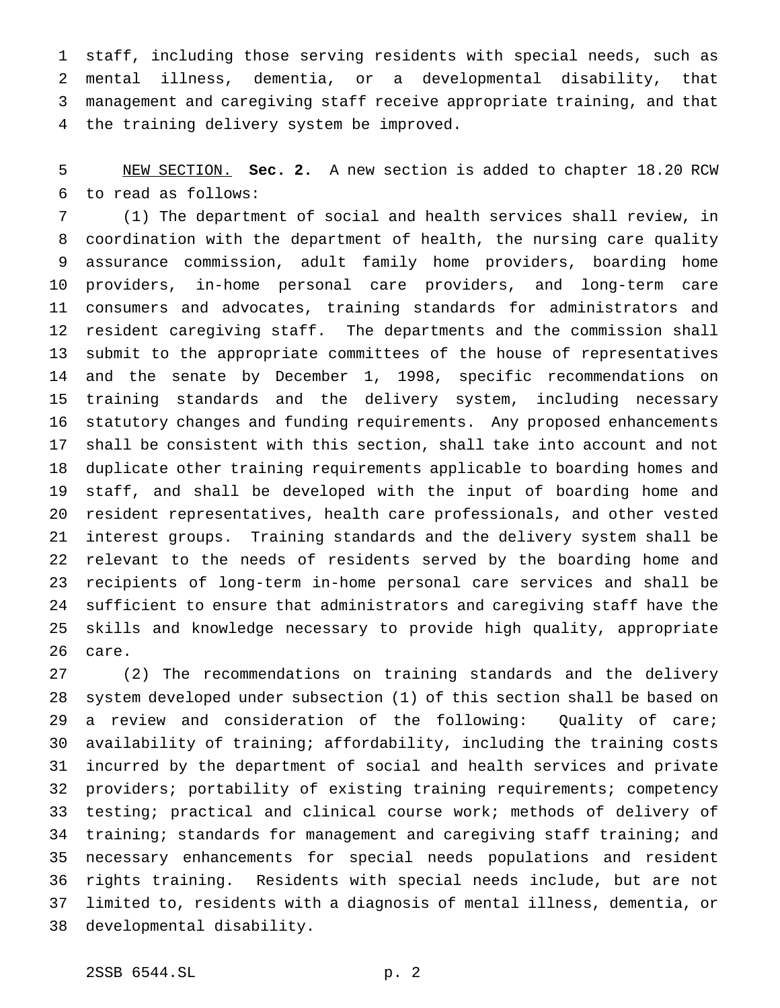staff, including those serving residents with special needs, such as mental illness, dementia, or a developmental disability, that management and caregiving staff receive appropriate training, and that the training delivery system be improved.

 NEW SECTION. **Sec. 2.** A new section is added to chapter 18.20 RCW to read as follows:

 (1) The department of social and health services shall review, in coordination with the department of health, the nursing care quality assurance commission, adult family home providers, boarding home providers, in-home personal care providers, and long-term care consumers and advocates, training standards for administrators and resident caregiving staff. The departments and the commission shall submit to the appropriate committees of the house of representatives and the senate by December 1, 1998, specific recommendations on training standards and the delivery system, including necessary statutory changes and funding requirements. Any proposed enhancements shall be consistent with this section, shall take into account and not duplicate other training requirements applicable to boarding homes and staff, and shall be developed with the input of boarding home and resident representatives, health care professionals, and other vested interest groups. Training standards and the delivery system shall be relevant to the needs of residents served by the boarding home and recipients of long-term in-home personal care services and shall be sufficient to ensure that administrators and caregiving staff have the skills and knowledge necessary to provide high quality, appropriate care.

 (2) The recommendations on training standards and the delivery system developed under subsection (1) of this section shall be based on a review and consideration of the following: Quality of care; availability of training; affordability, including the training costs incurred by the department of social and health services and private providers; portability of existing training requirements; competency testing; practical and clinical course work; methods of delivery of 34 training; standards for management and caregiving staff training; and necessary enhancements for special needs populations and resident rights training. Residents with special needs include, but are not limited to, residents with a diagnosis of mental illness, dementia, or developmental disability.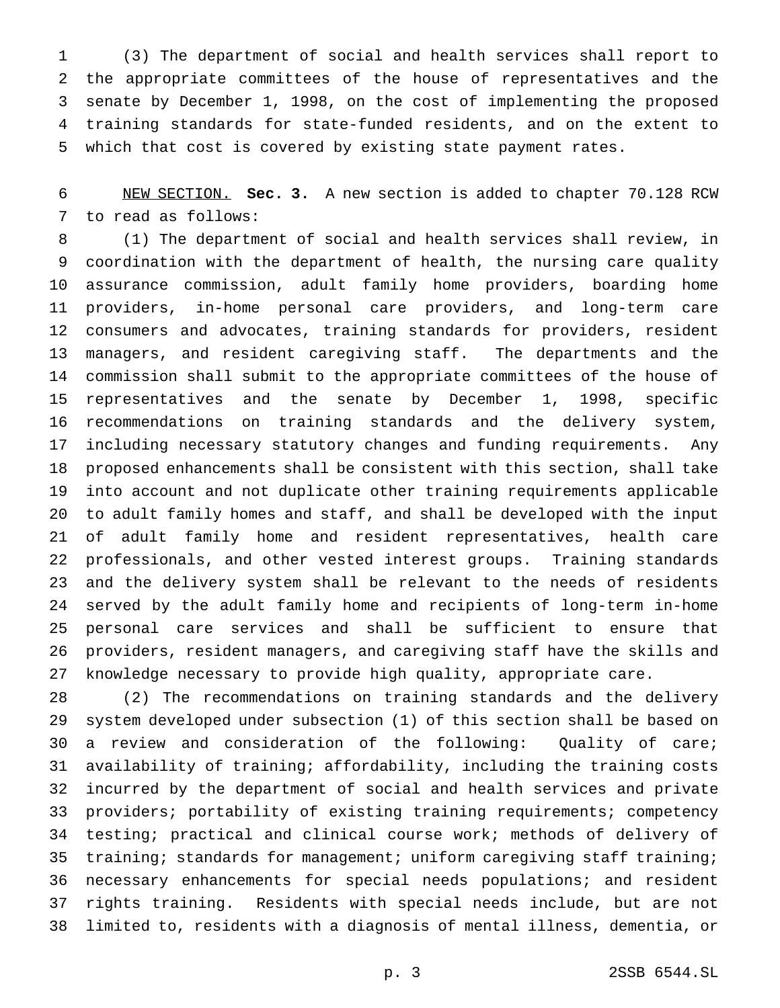(3) The department of social and health services shall report to the appropriate committees of the house of representatives and the senate by December 1, 1998, on the cost of implementing the proposed training standards for state-funded residents, and on the extent to which that cost is covered by existing state payment rates.

 NEW SECTION. **Sec. 3.** A new section is added to chapter 70.128 RCW to read as follows:

 (1) The department of social and health services shall review, in coordination with the department of health, the nursing care quality assurance commission, adult family home providers, boarding home providers, in-home personal care providers, and long-term care consumers and advocates, training standards for providers, resident managers, and resident caregiving staff. The departments and the commission shall submit to the appropriate committees of the house of representatives and the senate by December 1, 1998, specific recommendations on training standards and the delivery system, including necessary statutory changes and funding requirements. Any proposed enhancements shall be consistent with this section, shall take into account and not duplicate other training requirements applicable to adult family homes and staff, and shall be developed with the input of adult family home and resident representatives, health care professionals, and other vested interest groups. Training standards and the delivery system shall be relevant to the needs of residents served by the adult family home and recipients of long-term in-home personal care services and shall be sufficient to ensure that providers, resident managers, and caregiving staff have the skills and knowledge necessary to provide high quality, appropriate care.

 (2) The recommendations on training standards and the delivery system developed under subsection (1) of this section shall be based on a review and consideration of the following: Quality of care; availability of training; affordability, including the training costs incurred by the department of social and health services and private providers; portability of existing training requirements; competency testing; practical and clinical course work; methods of delivery of 35 training; standards for management; uniform caregiving staff training; necessary enhancements for special needs populations; and resident rights training. Residents with special needs include, but are not limited to, residents with a diagnosis of mental illness, dementia, or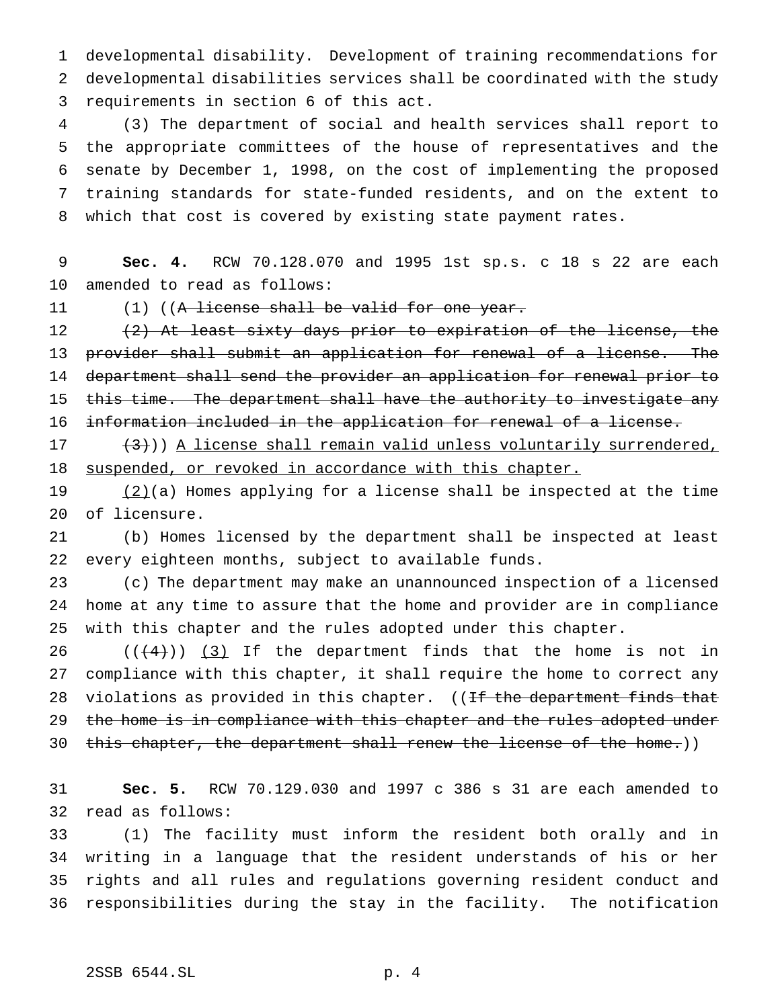developmental disability. Development of training recommendations for developmental disabilities services shall be coordinated with the study requirements in section 6 of this act.

 (3) The department of social and health services shall report to the appropriate committees of the house of representatives and the senate by December 1, 1998, on the cost of implementing the proposed training standards for state-funded residents, and on the extent to which that cost is covered by existing state payment rates.

# **Sec. 4.** RCW 70.128.070 and 1995 1st sp.s. c 18 s 22 are each amended to read as follows:

11 (1) ((A license shall be valid for one year.

12 (2) At least sixty days prior to expiration of the license, the provider shall submit an application for renewal of a license. The department shall send the provider an application for renewal prior to 15 this time. The department shall have the authority to investigate any information included in the application for renewal of a license.

17  $(3)$ )) A license shall remain valid unless voluntarily surrendered, 18 suspended, or revoked in accordance with this chapter.

19  $(2)(a)$  Homes applying for a license shall be inspected at the time of licensure.

 (b) Homes licensed by the department shall be inspected at least every eighteen months, subject to available funds.

 (c) The department may make an unannounced inspection of a licensed home at any time to assure that the home and provider are in compliance with this chapter and the rules adopted under this chapter.

 $((4+))$  (3) If the department finds that the home is not in compliance with this chapter, it shall require the home to correct any 28 violations as provided in this chapter. ((If the department finds that 29 the home is in compliance with this chapter and the rules adopted under 30 this chapter, the department shall renew the license of the home.))

 **Sec. 5.** RCW 70.129.030 and 1997 c 386 s 31 are each amended to read as follows:

 (1) The facility must inform the resident both orally and in writing in a language that the resident understands of his or her rights and all rules and regulations governing resident conduct and responsibilities during the stay in the facility. The notification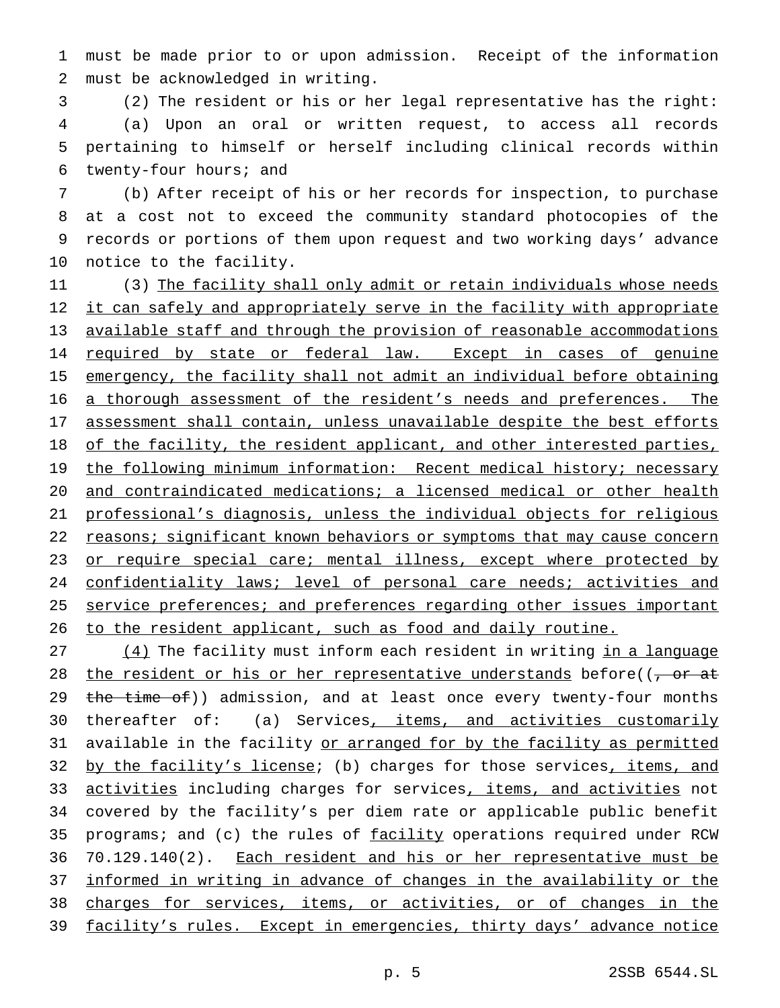1 must be made prior to or upon admission. Receipt of the information 2 must be acknowledged in writing.

 (2) The resident or his or her legal representative has the right: (a) Upon an oral or written request, to access all records pertaining to himself or herself including clinical records within twenty-four hours; and

 (b) After receipt of his or her records for inspection, to purchase at a cost not to exceed the community standard photocopies of the records or portions of them upon request and two working days' advance notice to the facility.

11 (3) The facility shall only admit or retain individuals whose needs 12 it can safely and appropriately serve in the facility with appropriate 13 available staff and through the provision of reasonable accommodations 14 required by state or federal law. Except in cases of genuine 15 emergency, the facility shall not admit an individual before obtaining 16 a thorough assessment of the resident's needs and preferences. The 17 assessment shall contain, unless unavailable despite the best efforts 18 of the facility, the resident applicant, and other interested parties, 19 the following minimum information: Recent medical history; necessary 20 and contraindicated medications; a licensed medical or other health 21 professional's diagnosis, unless the individual objects for religious 22 reasons; significant known behaviors or symptoms that may cause concern 23 or require special care; mental illness, except where protected by 24 confidentiality laws; level of personal care needs; activities and 25 service preferences; and preferences regarding other issues important 26 to the resident applicant, such as food and daily routine.

27 (4) The facility must inform each resident in writing in a language 28 the resident or his or her representative understands before( $\frac{1}{2}$  or at 29 the time of)) admission, and at least once every twenty-four months 30 thereafter of: (a) Services, items, and activities customarily 31 available in the facility or arranged for by the facility as permitted 32 by the facility's license; (b) charges for those services, items, and 33 activities including charges for services, items, and activities not 34 covered by the facility's per diem rate or applicable public benefit 35 programs; and (c) the rules of facility operations required under RCW 36 70.129.140(2). Each resident and his or her representative must be 37 informed in writing in advance of changes in the availability or the 38 charges for services, items, or activities, or of changes in the 39 facility's rules. Except in emergencies, thirty days' advance notice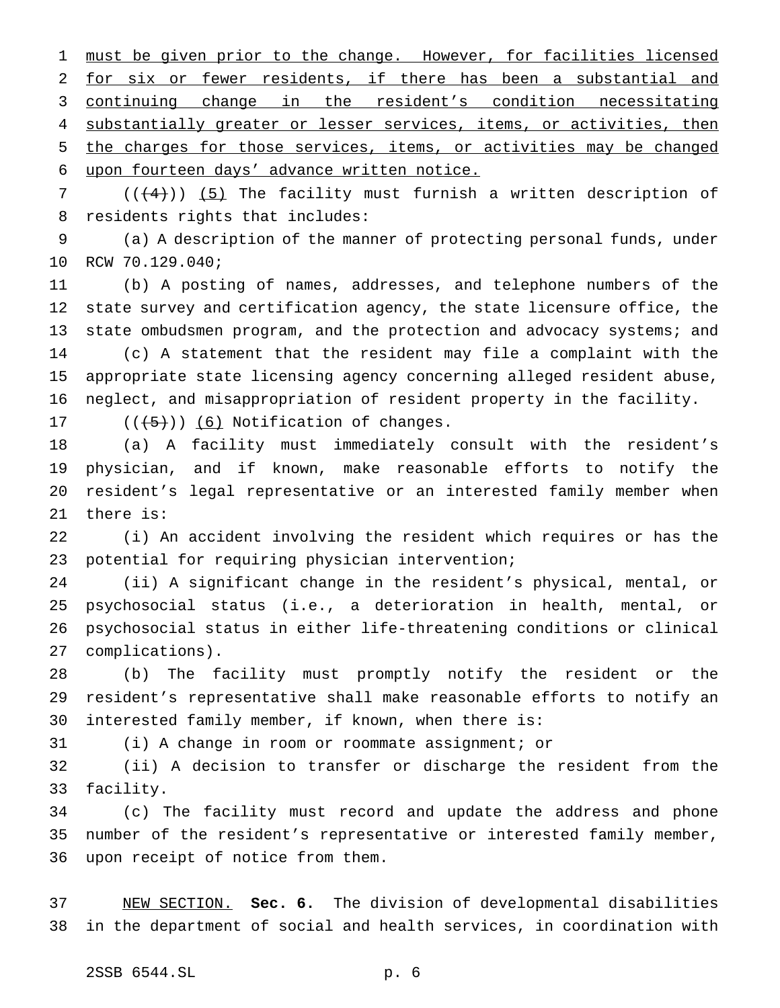1 must be given prior to the change. However, for facilities licensed for six or fewer residents, if there has been a substantial and continuing change in the resident's condition necessitating 4 substantially greater or lesser services, items, or activities, then the charges for those services, items, or activities may be changed upon fourteen days' advance written notice.

7 ( $($  $($  $($  $+4$  $)$ )  $($   $5$ ) The facility must furnish a written description of residents rights that includes:

 (a) A description of the manner of protecting personal funds, under RCW 70.129.040;

 (b) A posting of names, addresses, and telephone numbers of the state survey and certification agency, the state licensure office, the state ombudsmen program, and the protection and advocacy systems; and (c) A statement that the resident may file a complaint with the appropriate state licensing agency concerning alleged resident abuse, neglect, and misappropriation of resident property in the facility.

17  $((+5))$   $(6)$  Notification of changes.

 (a) A facility must immediately consult with the resident's physician, and if known, make reasonable efforts to notify the resident's legal representative or an interested family member when there is:

 (i) An accident involving the resident which requires or has the potential for requiring physician intervention;

 (ii) A significant change in the resident's physical, mental, or psychosocial status (i.e., a deterioration in health, mental, or psychosocial status in either life-threatening conditions or clinical complications).

 (b) The facility must promptly notify the resident or the resident's representative shall make reasonable efforts to notify an interested family member, if known, when there is:

(i) A change in room or roommate assignment; or

 (ii) A decision to transfer or discharge the resident from the facility.

 (c) The facility must record and update the address and phone number of the resident's representative or interested family member, upon receipt of notice from them.

 NEW SECTION. **Sec. 6.** The division of developmental disabilities in the department of social and health services, in coordination with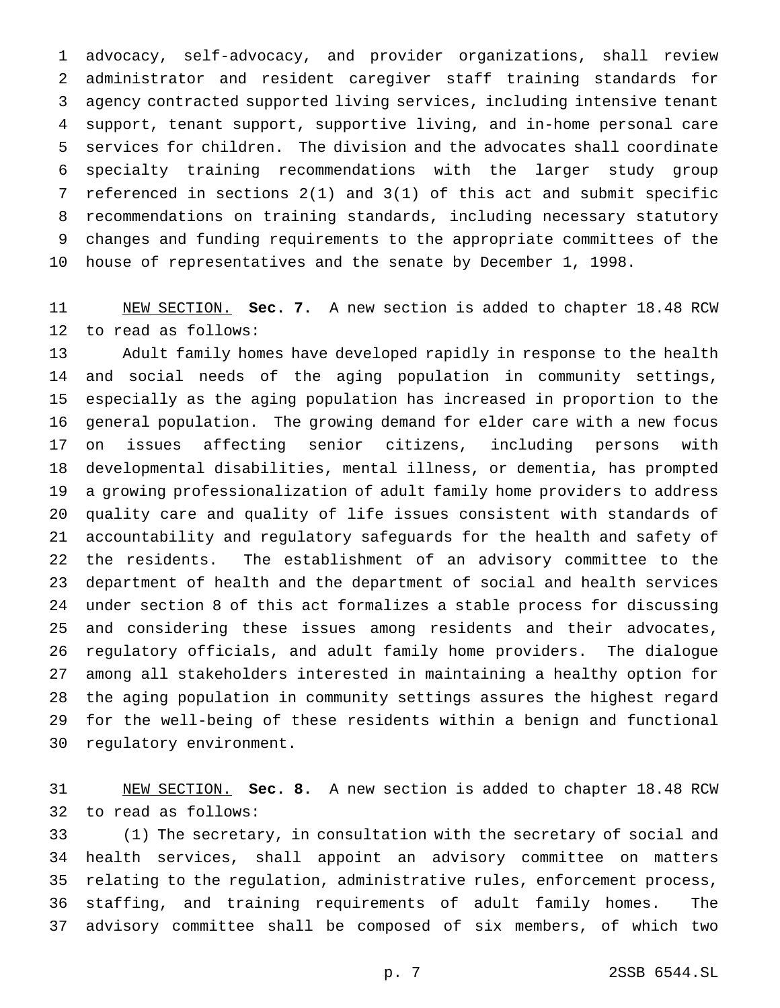advocacy, self-advocacy, and provider organizations, shall review administrator and resident caregiver staff training standards for agency contracted supported living services, including intensive tenant support, tenant support, supportive living, and in-home personal care services for children. The division and the advocates shall coordinate specialty training recommendations with the larger study group referenced in sections 2(1) and 3(1) of this act and submit specific recommendations on training standards, including necessary statutory changes and funding requirements to the appropriate committees of the house of representatives and the senate by December 1, 1998.

 NEW SECTION. **Sec. 7.** A new section is added to chapter 18.48 RCW to read as follows:

 Adult family homes have developed rapidly in response to the health and social needs of the aging population in community settings, especially as the aging population has increased in proportion to the general population. The growing demand for elder care with a new focus on issues affecting senior citizens, including persons with developmental disabilities, mental illness, or dementia, has prompted a growing professionalization of adult family home providers to address quality care and quality of life issues consistent with standards of accountability and regulatory safeguards for the health and safety of the residents. The establishment of an advisory committee to the department of health and the department of social and health services under section 8 of this act formalizes a stable process for discussing and considering these issues among residents and their advocates, regulatory officials, and adult family home providers. The dialogue among all stakeholders interested in maintaining a healthy option for the aging population in community settings assures the highest regard for the well-being of these residents within a benign and functional regulatory environment.

 NEW SECTION. **Sec. 8.** A new section is added to chapter 18.48 RCW to read as follows:

 (1) The secretary, in consultation with the secretary of social and health services, shall appoint an advisory committee on matters relating to the regulation, administrative rules, enforcement process, staffing, and training requirements of adult family homes. The advisory committee shall be composed of six members, of which two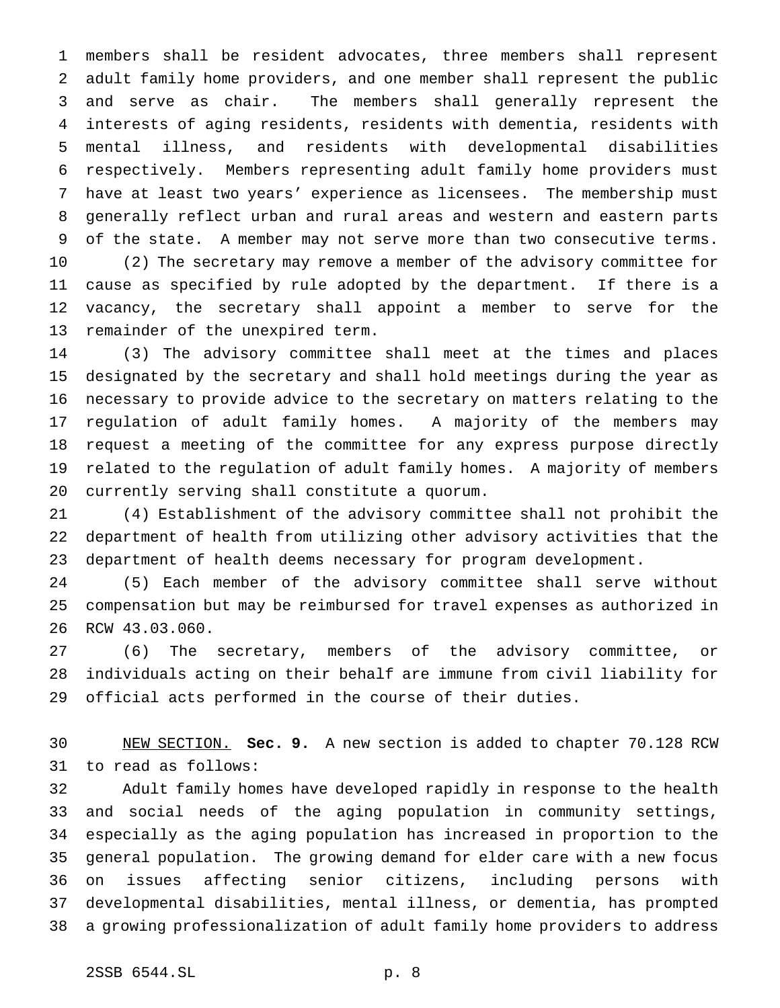members shall be resident advocates, three members shall represent adult family home providers, and one member shall represent the public and serve as chair. The members shall generally represent the interests of aging residents, residents with dementia, residents with mental illness, and residents with developmental disabilities respectively. Members representing adult family home providers must have at least two years' experience as licensees. The membership must generally reflect urban and rural areas and western and eastern parts of the state. A member may not serve more than two consecutive terms.

 (2) The secretary may remove a member of the advisory committee for cause as specified by rule adopted by the department. If there is a vacancy, the secretary shall appoint a member to serve for the remainder of the unexpired term.

 (3) The advisory committee shall meet at the times and places designated by the secretary and shall hold meetings during the year as necessary to provide advice to the secretary on matters relating to the regulation of adult family homes. A majority of the members may request a meeting of the committee for any express purpose directly related to the regulation of adult family homes. A majority of members currently serving shall constitute a quorum.

 (4) Establishment of the advisory committee shall not prohibit the department of health from utilizing other advisory activities that the department of health deems necessary for program development.

 (5) Each member of the advisory committee shall serve without compensation but may be reimbursed for travel expenses as authorized in RCW 43.03.060.

 (6) The secretary, members of the advisory committee, or individuals acting on their behalf are immune from civil liability for official acts performed in the course of their duties.

 NEW SECTION. **Sec. 9.** A new section is added to chapter 70.128 RCW to read as follows:

 Adult family homes have developed rapidly in response to the health and social needs of the aging population in community settings, especially as the aging population has increased in proportion to the general population. The growing demand for elder care with a new focus on issues affecting senior citizens, including persons with developmental disabilities, mental illness, or dementia, has prompted a growing professionalization of adult family home providers to address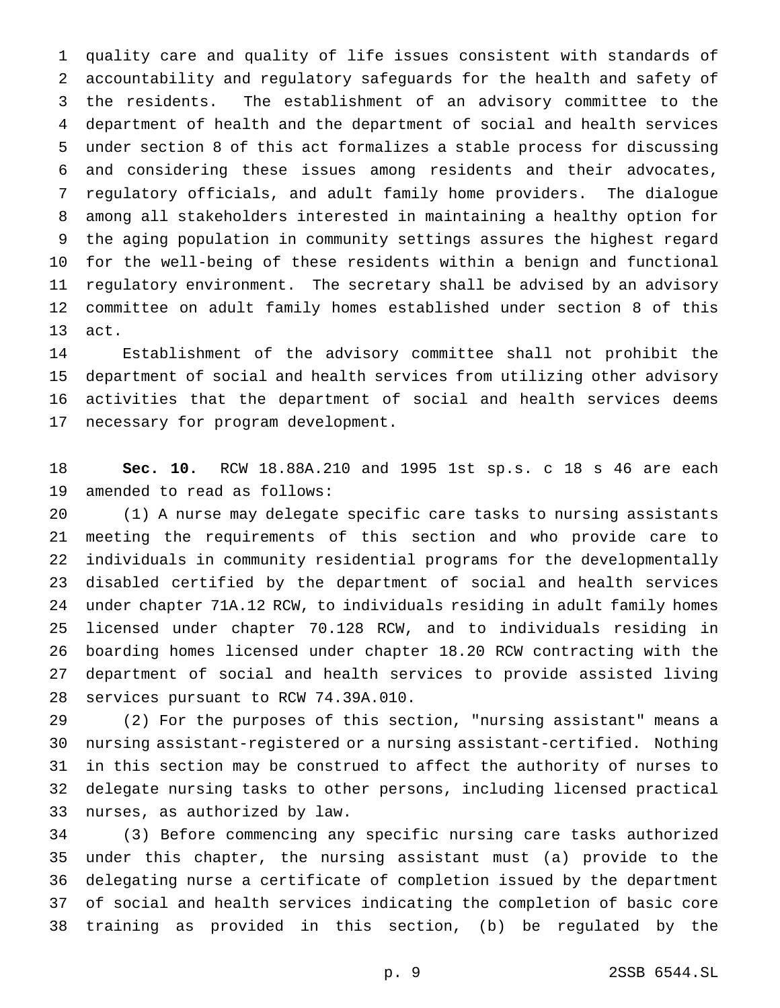quality care and quality of life issues consistent with standards of accountability and regulatory safeguards for the health and safety of the residents. The establishment of an advisory committee to the department of health and the department of social and health services under section 8 of this act formalizes a stable process for discussing and considering these issues among residents and their advocates, regulatory officials, and adult family home providers. The dialogue among all stakeholders interested in maintaining a healthy option for the aging population in community settings assures the highest regard for the well-being of these residents within a benign and functional regulatory environment. The secretary shall be advised by an advisory committee on adult family homes established under section 8 of this act.

 Establishment of the advisory committee shall not prohibit the department of social and health services from utilizing other advisory activities that the department of social and health services deems necessary for program development.

 **Sec. 10.** RCW 18.88A.210 and 1995 1st sp.s. c 18 s 46 are each amended to read as follows:

 (1) A nurse may delegate specific care tasks to nursing assistants meeting the requirements of this section and who provide care to individuals in community residential programs for the developmentally disabled certified by the department of social and health services under chapter 71A.12 RCW, to individuals residing in adult family homes licensed under chapter 70.128 RCW, and to individuals residing in boarding homes licensed under chapter 18.20 RCW contracting with the department of social and health services to provide assisted living services pursuant to RCW 74.39A.010.

 (2) For the purposes of this section, "nursing assistant" means a nursing assistant-registered or a nursing assistant-certified. Nothing in this section may be construed to affect the authority of nurses to delegate nursing tasks to other persons, including licensed practical nurses, as authorized by law.

 (3) Before commencing any specific nursing care tasks authorized under this chapter, the nursing assistant must (a) provide to the delegating nurse a certificate of completion issued by the department of social and health services indicating the completion of basic core training as provided in this section, (b) be regulated by the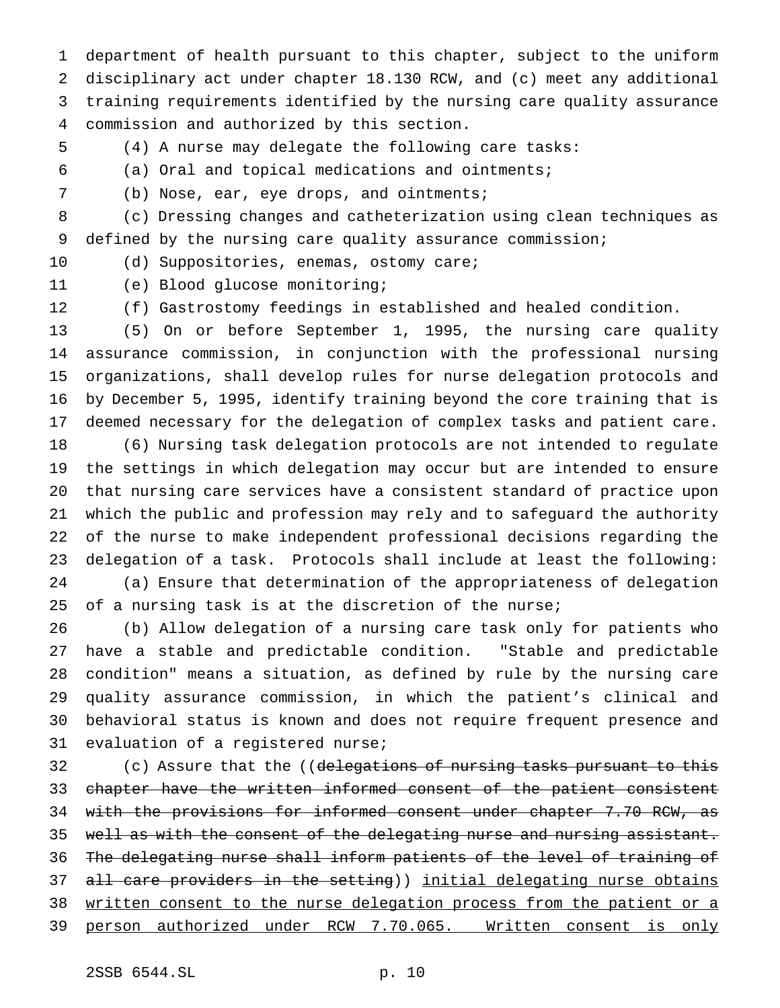department of health pursuant to this chapter, subject to the uniform disciplinary act under chapter 18.130 RCW, and (c) meet any additional training requirements identified by the nursing care quality assurance commission and authorized by this section.

(4) A nurse may delegate the following care tasks:

(a) Oral and topical medications and ointments;

(b) Nose, ear, eye drops, and ointments;

 (c) Dressing changes and catheterization using clean techniques as defined by the nursing care quality assurance commission;

10 (d) Suppositories, enemas, ostomy care;

(e) Blood glucose monitoring;

(f) Gastrostomy feedings in established and healed condition.

 (5) On or before September 1, 1995, the nursing care quality assurance commission, in conjunction with the professional nursing organizations, shall develop rules for nurse delegation protocols and by December 5, 1995, identify training beyond the core training that is deemed necessary for the delegation of complex tasks and patient care.

 (6) Nursing task delegation protocols are not intended to regulate the settings in which delegation may occur but are intended to ensure that nursing care services have a consistent standard of practice upon which the public and profession may rely and to safeguard the authority of the nurse to make independent professional decisions regarding the delegation of a task. Protocols shall include at least the following: (a) Ensure that determination of the appropriateness of delegation 25 of a nursing task is at the discretion of the nurse;

 (b) Allow delegation of a nursing care task only for patients who have a stable and predictable condition. "Stable and predictable condition" means a situation, as defined by rule by the nursing care quality assurance commission, in which the patient's clinical and behavioral status is known and does not require frequent presence and evaluation of a registered nurse;

32 (c) Assure that the ((delegations of nursing tasks pursuant to this 33 chapter have the written informed consent of the patient consistent 34 with the provisions for informed consent under chapter 7.70 RCW, as 35 well as with the consent of the delegating nurse and nursing assistant. The delegating nurse shall inform patients of the level of training of 37 all care providers in the setting)) initial delegating nurse obtains 38 written consent to the nurse delegation process from the patient or a person authorized under RCW 7.70.065. Written consent is only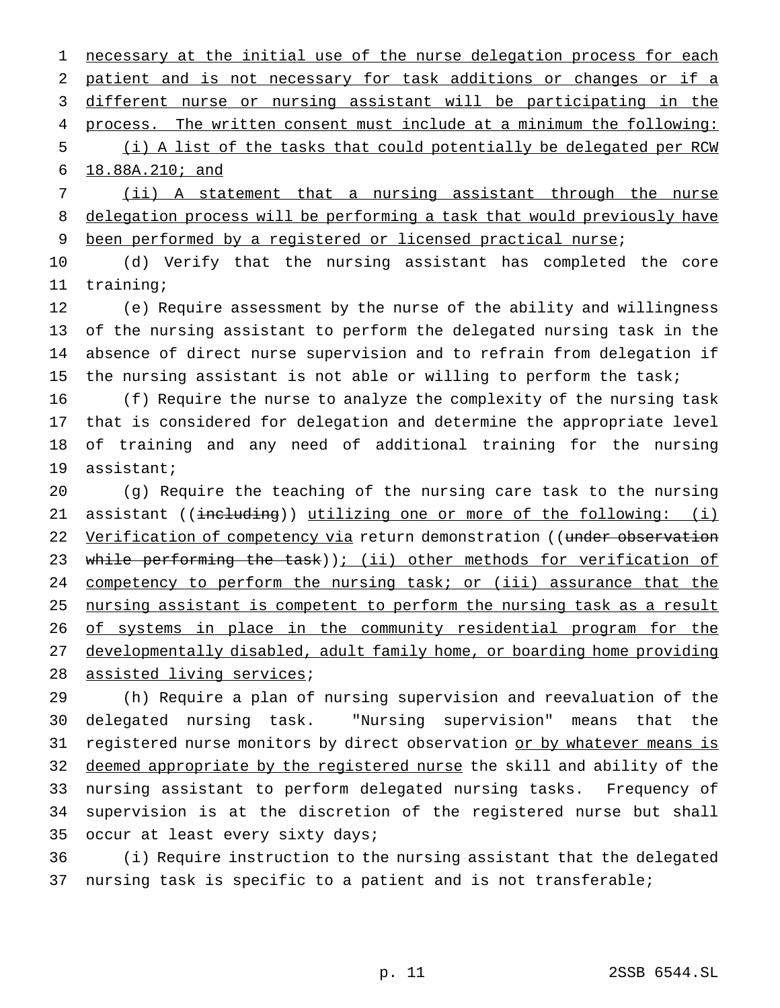1 necessary at the initial use of the nurse delegation process for each patient and is not necessary for task additions or changes or if a different nurse or nursing assistant will be participating in the process. The written consent must include at a minimum the following: (i) A list of the tasks that could potentially be delegated per RCW

18.88A.210; and

 (ii) A statement that a nursing assistant through the nurse delegation process will be performing a task that would previously have been performed by a registered or licensed practical nurse;

 (d) Verify that the nursing assistant has completed the core training;

 (e) Require assessment by the nurse of the ability and willingness of the nursing assistant to perform the delegated nursing task in the absence of direct nurse supervision and to refrain from delegation if 15 the nursing assistant is not able or willing to perform the task;

 (f) Require the nurse to analyze the complexity of the nursing task that is considered for delegation and determine the appropriate level of training and any need of additional training for the nursing assistant;

 (g) Require the teaching of the nursing care task to the nursing 21 assistant ((including)) utilizing one or more of the following: (i) 22 Verification of competency via return demonstration ((under observation 23 while performing the task)); (ii) other methods for verification of 24 competency to perform the nursing task; or (iii) assurance that the nursing assistant is competent to perform the nursing task as a result 26 of systems in place in the community residential program for the developmentally disabled, adult family home, or boarding home providing assisted living services;

 (h) Require a plan of nursing supervision and reevaluation of the delegated nursing task. "Nursing supervision" means that the 31 registered nurse monitors by direct observation or by whatever means is 32 deemed appropriate by the registered nurse the skill and ability of the nursing assistant to perform delegated nursing tasks. Frequency of supervision is at the discretion of the registered nurse but shall occur at least every sixty days;

 (i) Require instruction to the nursing assistant that the delegated nursing task is specific to a patient and is not transferable;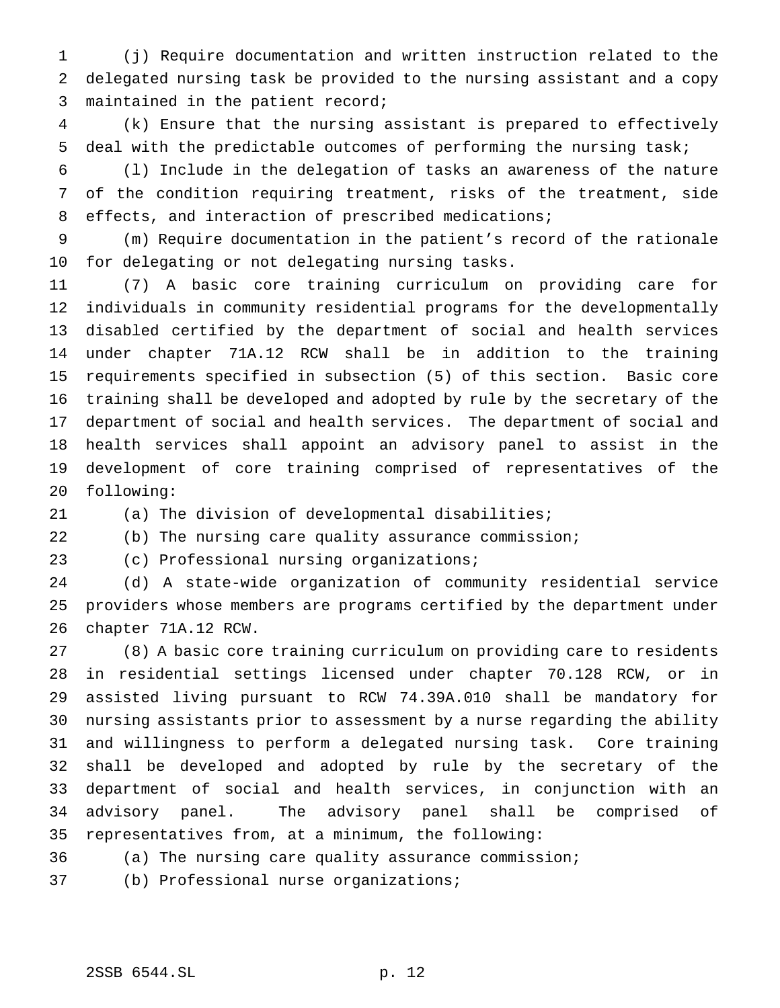(j) Require documentation and written instruction related to the delegated nursing task be provided to the nursing assistant and a copy maintained in the patient record;

 (k) Ensure that the nursing assistant is prepared to effectively deal with the predictable outcomes of performing the nursing task;

 (l) Include in the delegation of tasks an awareness of the nature of the condition requiring treatment, risks of the treatment, side effects, and interaction of prescribed medications;

 (m) Require documentation in the patient's record of the rationale for delegating or not delegating nursing tasks.

 (7) A basic core training curriculum on providing care for individuals in community residential programs for the developmentally disabled certified by the department of social and health services under chapter 71A.12 RCW shall be in addition to the training requirements specified in subsection (5) of this section. Basic core training shall be developed and adopted by rule by the secretary of the department of social and health services. The department of social and health services shall appoint an advisory panel to assist in the development of core training comprised of representatives of the following:

(a) The division of developmental disabilities;

(b) The nursing care quality assurance commission;

(c) Professional nursing organizations;

 (d) A state-wide organization of community residential service providers whose members are programs certified by the department under chapter 71A.12 RCW.

 (8) A basic core training curriculum on providing care to residents in residential settings licensed under chapter 70.128 RCW, or in assisted living pursuant to RCW 74.39A.010 shall be mandatory for nursing assistants prior to assessment by a nurse regarding the ability and willingness to perform a delegated nursing task. Core training shall be developed and adopted by rule by the secretary of the department of social and health services, in conjunction with an advisory panel. The advisory panel shall be comprised of representatives from, at a minimum, the following:

(a) The nursing care quality assurance commission;

(b) Professional nurse organizations;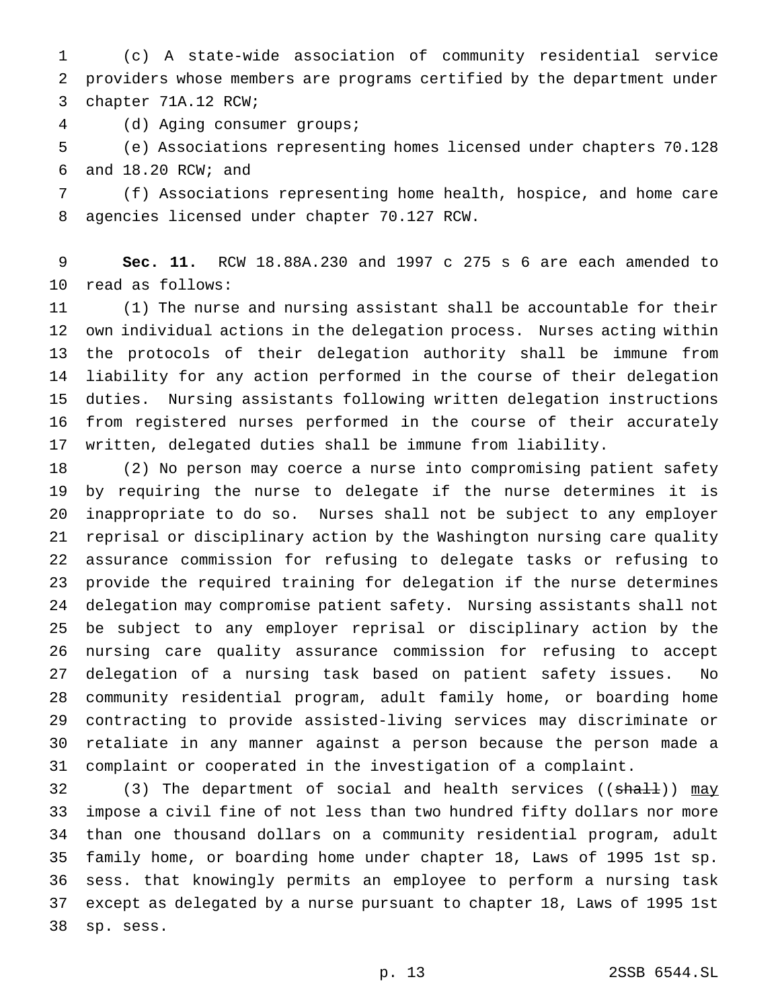(c) A state-wide association of community residential service providers whose members are programs certified by the department under chapter 71A.12 RCW;

(d) Aging consumer groups;

 (e) Associations representing homes licensed under chapters 70.128 and 18.20 RCW; and

 (f) Associations representing home health, hospice, and home care agencies licensed under chapter 70.127 RCW.

 **Sec. 11.** RCW 18.88A.230 and 1997 c 275 s 6 are each amended to read as follows:

 (1) The nurse and nursing assistant shall be accountable for their own individual actions in the delegation process. Nurses acting within the protocols of their delegation authority shall be immune from liability for any action performed in the course of their delegation duties. Nursing assistants following written delegation instructions from registered nurses performed in the course of their accurately written, delegated duties shall be immune from liability.

 (2) No person may coerce a nurse into compromising patient safety by requiring the nurse to delegate if the nurse determines it is inappropriate to do so. Nurses shall not be subject to any employer reprisal or disciplinary action by the Washington nursing care quality assurance commission for refusing to delegate tasks or refusing to provide the required training for delegation if the nurse determines delegation may compromise patient safety. Nursing assistants shall not be subject to any employer reprisal or disciplinary action by the nursing care quality assurance commission for refusing to accept delegation of a nursing task based on patient safety issues. No community residential program, adult family home, or boarding home contracting to provide assisted-living services may discriminate or retaliate in any manner against a person because the person made a complaint or cooperated in the investigation of a complaint.

32 (3) The department of social and health services ((shall)) may impose a civil fine of not less than two hundred fifty dollars nor more than one thousand dollars on a community residential program, adult family home, or boarding home under chapter 18, Laws of 1995 1st sp. sess. that knowingly permits an employee to perform a nursing task except as delegated by a nurse pursuant to chapter 18, Laws of 1995 1st sp. sess.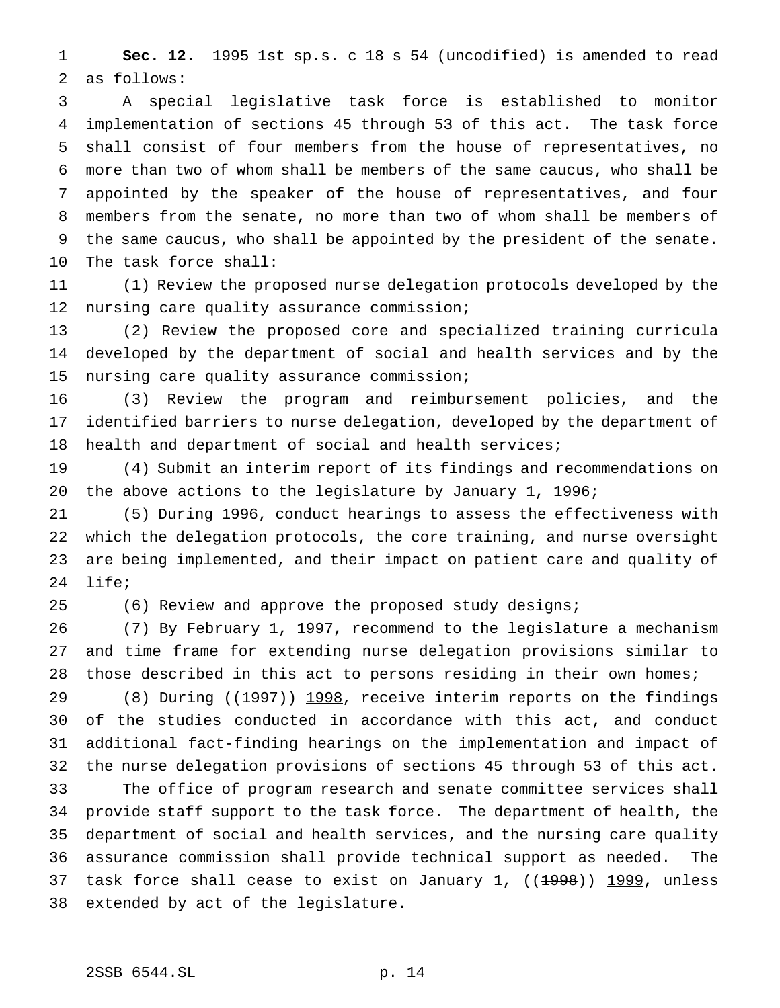**Sec. 12.** 1995 1st sp.s. c 18 s 54 (uncodified) is amended to read as follows:

 A special legislative task force is established to monitor implementation of sections 45 through 53 of this act. The task force shall consist of four members from the house of representatives, no more than two of whom shall be members of the same caucus, who shall be appointed by the speaker of the house of representatives, and four members from the senate, no more than two of whom shall be members of the same caucus, who shall be appointed by the president of the senate. The task force shall:

 (1) Review the proposed nurse delegation protocols developed by the nursing care quality assurance commission;

 (2) Review the proposed core and specialized training curricula developed by the department of social and health services and by the nursing care quality assurance commission;

 (3) Review the program and reimbursement policies, and the identified barriers to nurse delegation, developed by the department of health and department of social and health services;

 (4) Submit an interim report of its findings and recommendations on the above actions to the legislature by January 1, 1996;

 (5) During 1996, conduct hearings to assess the effectiveness with which the delegation protocols, the core training, and nurse oversight are being implemented, and their impact on patient care and quality of life;

(6) Review and approve the proposed study designs;

 (7) By February 1, 1997, recommend to the legislature a mechanism and time frame for extending nurse delegation provisions similar to those described in this act to persons residing in their own homes;

29 (8) During ((1997)) 1998, receive interim reports on the findings of the studies conducted in accordance with this act, and conduct additional fact-finding hearings on the implementation and impact of the nurse delegation provisions of sections 45 through 53 of this act.

 The office of program research and senate committee services shall provide staff support to the task force. The department of health, the department of social and health services, and the nursing care quality assurance commission shall provide technical support as needed. The 37 task force shall cease to exist on January 1, ((1998)) 1999, unless extended by act of the legislature.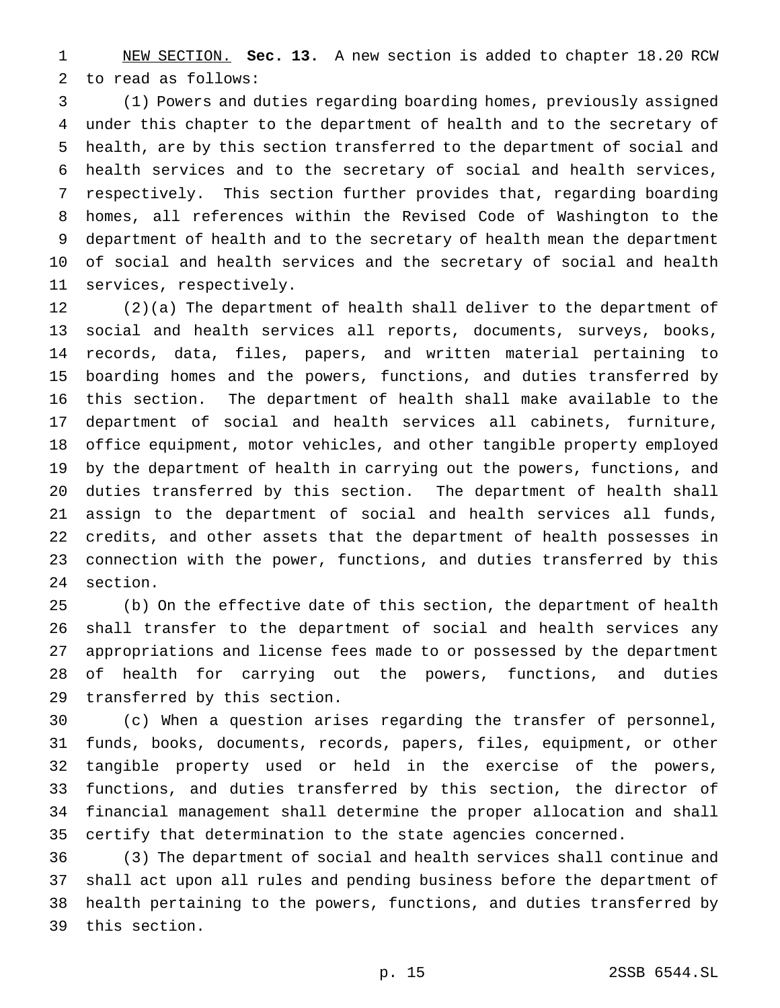NEW SECTION. **Sec. 13.** A new section is added to chapter 18.20 RCW to read as follows:

 (1) Powers and duties regarding boarding homes, previously assigned under this chapter to the department of health and to the secretary of health, are by this section transferred to the department of social and health services and to the secretary of social and health services, respectively. This section further provides that, regarding boarding homes, all references within the Revised Code of Washington to the department of health and to the secretary of health mean the department of social and health services and the secretary of social and health services, respectively.

 (2)(a) The department of health shall deliver to the department of social and health services all reports, documents, surveys, books, records, data, files, papers, and written material pertaining to boarding homes and the powers, functions, and duties transferred by this section. The department of health shall make available to the department of social and health services all cabinets, furniture, office equipment, motor vehicles, and other tangible property employed by the department of health in carrying out the powers, functions, and duties transferred by this section. The department of health shall assign to the department of social and health services all funds, credits, and other assets that the department of health possesses in connection with the power, functions, and duties transferred by this section.

 (b) On the effective date of this section, the department of health shall transfer to the department of social and health services any appropriations and license fees made to or possessed by the department of health for carrying out the powers, functions, and duties transferred by this section.

 (c) When a question arises regarding the transfer of personnel, funds, books, documents, records, papers, files, equipment, or other tangible property used or held in the exercise of the powers, functions, and duties transferred by this section, the director of financial management shall determine the proper allocation and shall certify that determination to the state agencies concerned.

 (3) The department of social and health services shall continue and shall act upon all rules and pending business before the department of health pertaining to the powers, functions, and duties transferred by this section.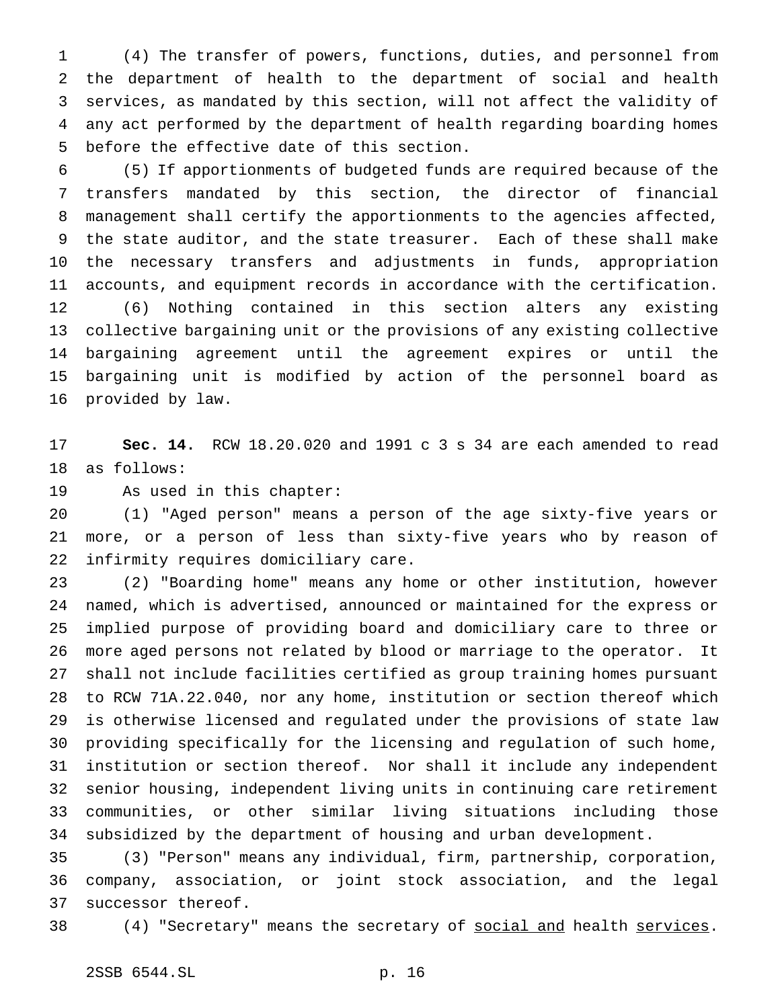(4) The transfer of powers, functions, duties, and personnel from the department of health to the department of social and health services, as mandated by this section, will not affect the validity of any act performed by the department of health regarding boarding homes before the effective date of this section.

 (5) If apportionments of budgeted funds are required because of the transfers mandated by this section, the director of financial management shall certify the apportionments to the agencies affected, the state auditor, and the state treasurer. Each of these shall make the necessary transfers and adjustments in funds, appropriation accounts, and equipment records in accordance with the certification. (6) Nothing contained in this section alters any existing collective bargaining unit or the provisions of any existing collective bargaining agreement until the agreement expires or until the bargaining unit is modified by action of the personnel board as provided by law.

 **Sec. 14.** RCW 18.20.020 and 1991 c 3 s 34 are each amended to read as follows:

As used in this chapter:

 (1) "Aged person" means a person of the age sixty-five years or more, or a person of less than sixty-five years who by reason of infirmity requires domiciliary care.

 (2) "Boarding home" means any home or other institution, however named, which is advertised, announced or maintained for the express or implied purpose of providing board and domiciliary care to three or more aged persons not related by blood or marriage to the operator. It shall not include facilities certified as group training homes pursuant to RCW 71A.22.040, nor any home, institution or section thereof which is otherwise licensed and regulated under the provisions of state law providing specifically for the licensing and regulation of such home, institution or section thereof. Nor shall it include any independent senior housing, independent living units in continuing care retirement communities, or other similar living situations including those subsidized by the department of housing and urban development.

 (3) "Person" means any individual, firm, partnership, corporation, company, association, or joint stock association, and the legal successor thereof.

38 (4) "Secretary" means the secretary of social and health services.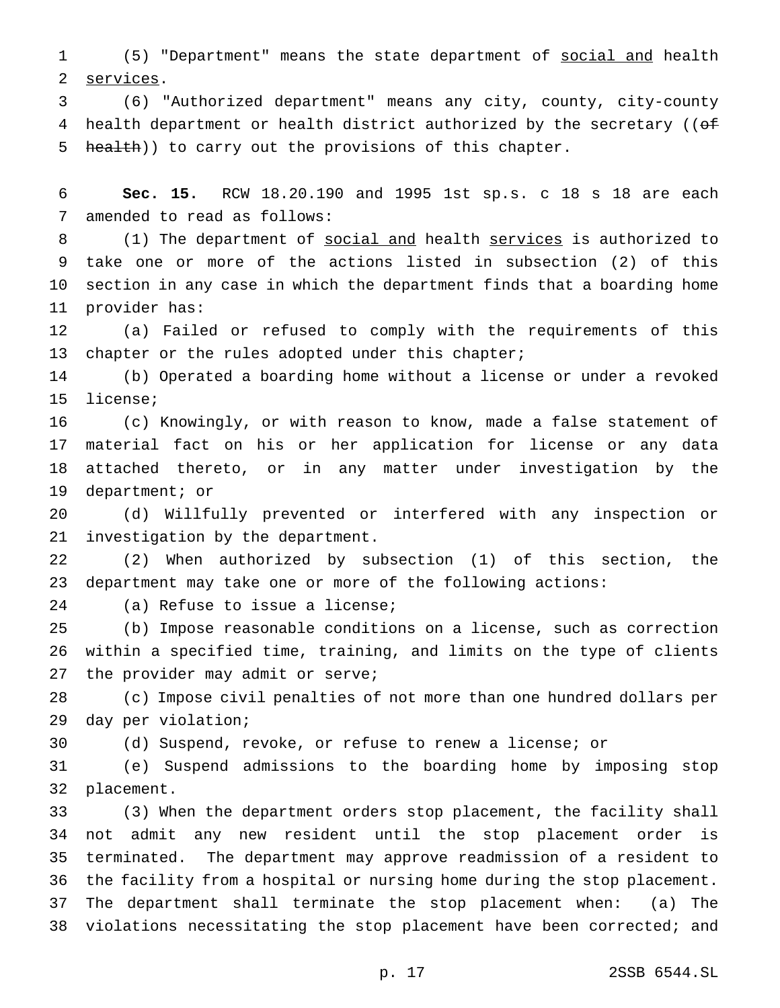(5) "Department" means the state department of social and health services.

 (6) "Authorized department" means any city, county, city-county 4 health department or health district authorized by the secretary ((of 5 health)) to carry out the provisions of this chapter.

 **Sec. 15.** RCW 18.20.190 and 1995 1st sp.s. c 18 s 18 are each amended to read as follows:

8 (1) The department of social and health services is authorized to take one or more of the actions listed in subsection (2) of this section in any case in which the department finds that a boarding home provider has:

 (a) Failed or refused to comply with the requirements of this 13 chapter or the rules adopted under this chapter;

 (b) Operated a boarding home without a license or under a revoked license;

 (c) Knowingly, or with reason to know, made a false statement of material fact on his or her application for license or any data attached thereto, or in any matter under investigation by the department; or

 (d) Willfully prevented or interfered with any inspection or investigation by the department.

 (2) When authorized by subsection (1) of this section, the department may take one or more of the following actions:

(a) Refuse to issue a license;

 (b) Impose reasonable conditions on a license, such as correction within a specified time, training, and limits on the type of clients the provider may admit or serve;

 (c) Impose civil penalties of not more than one hundred dollars per day per violation;

(d) Suspend, revoke, or refuse to renew a license; or

 (e) Suspend admissions to the boarding home by imposing stop placement.

 (3) When the department orders stop placement, the facility shall not admit any new resident until the stop placement order is terminated. The department may approve readmission of a resident to the facility from a hospital or nursing home during the stop placement. The department shall terminate the stop placement when: (a) The violations necessitating the stop placement have been corrected; and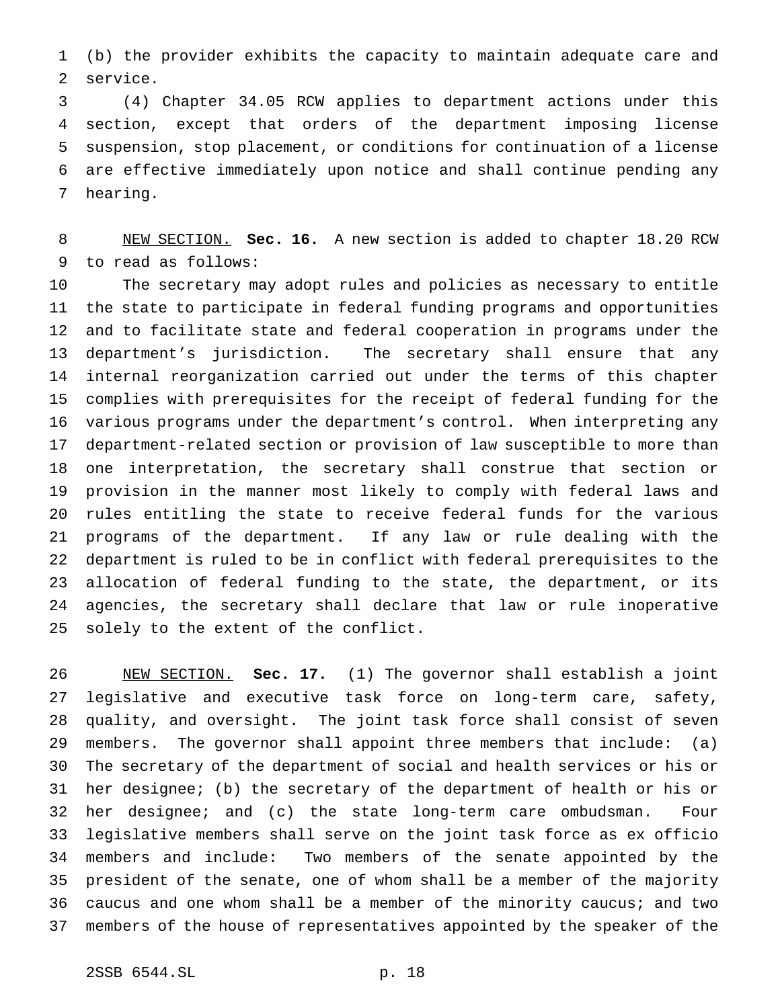(b) the provider exhibits the capacity to maintain adequate care and service.

 (4) Chapter 34.05 RCW applies to department actions under this section, except that orders of the department imposing license suspension, stop placement, or conditions for continuation of a license are effective immediately upon notice and shall continue pending any hearing.

 NEW SECTION. **Sec. 16.** A new section is added to chapter 18.20 RCW to read as follows:

 The secretary may adopt rules and policies as necessary to entitle the state to participate in federal funding programs and opportunities and to facilitate state and federal cooperation in programs under the department's jurisdiction. The secretary shall ensure that any internal reorganization carried out under the terms of this chapter complies with prerequisites for the receipt of federal funding for the various programs under the department's control. When interpreting any department-related section or provision of law susceptible to more than one interpretation, the secretary shall construe that section or provision in the manner most likely to comply with federal laws and rules entitling the state to receive federal funds for the various programs of the department. If any law or rule dealing with the department is ruled to be in conflict with federal prerequisites to the allocation of federal funding to the state, the department, or its agencies, the secretary shall declare that law or rule inoperative solely to the extent of the conflict.

 NEW SECTION. **Sec. 17.** (1) The governor shall establish a joint legislative and executive task force on long-term care, safety, quality, and oversight. The joint task force shall consist of seven members. The governor shall appoint three members that include: (a) The secretary of the department of social and health services or his or her designee; (b) the secretary of the department of health or his or her designee; and (c) the state long-term care ombudsman. Four legislative members shall serve on the joint task force as ex officio members and include: Two members of the senate appointed by the president of the senate, one of whom shall be a member of the majority caucus and one whom shall be a member of the minority caucus; and two members of the house of representatives appointed by the speaker of the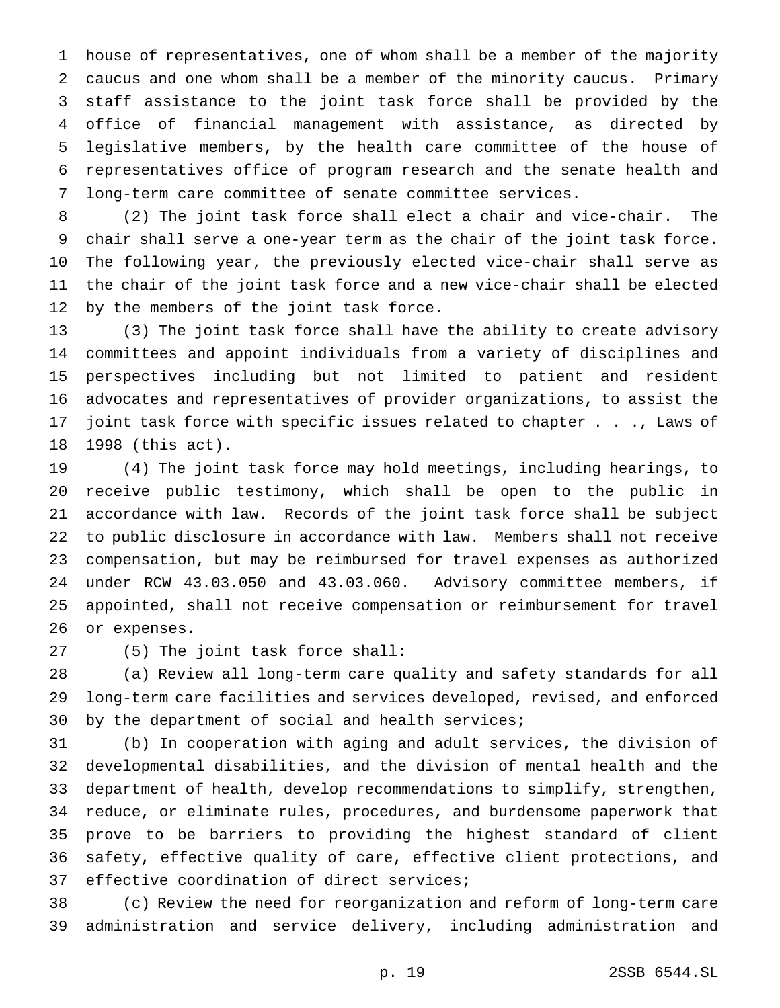house of representatives, one of whom shall be a member of the majority caucus and one whom shall be a member of the minority caucus. Primary staff assistance to the joint task force shall be provided by the office of financial management with assistance, as directed by legislative members, by the health care committee of the house of representatives office of program research and the senate health and long-term care committee of senate committee services.

 (2) The joint task force shall elect a chair and vice-chair. The chair shall serve a one-year term as the chair of the joint task force. The following year, the previously elected vice-chair shall serve as the chair of the joint task force and a new vice-chair shall be elected by the members of the joint task force.

 (3) The joint task force shall have the ability to create advisory committees and appoint individuals from a variety of disciplines and perspectives including but not limited to patient and resident advocates and representatives of provider organizations, to assist the joint task force with specific issues related to chapter . . ., Laws of 1998 (this act).

 (4) The joint task force may hold meetings, including hearings, to receive public testimony, which shall be open to the public in accordance with law. Records of the joint task force shall be subject to public disclosure in accordance with law. Members shall not receive compensation, but may be reimbursed for travel expenses as authorized under RCW 43.03.050 and 43.03.060. Advisory committee members, if appointed, shall not receive compensation or reimbursement for travel or expenses.

(5) The joint task force shall:

 (a) Review all long-term care quality and safety standards for all long-term care facilities and services developed, revised, and enforced by the department of social and health services;

 (b) In cooperation with aging and adult services, the division of developmental disabilities, and the division of mental health and the department of health, develop recommendations to simplify, strengthen, reduce, or eliminate rules, procedures, and burdensome paperwork that prove to be barriers to providing the highest standard of client safety, effective quality of care, effective client protections, and effective coordination of direct services;

 (c) Review the need for reorganization and reform of long-term care administration and service delivery, including administration and

p. 19 2SSB 6544.SL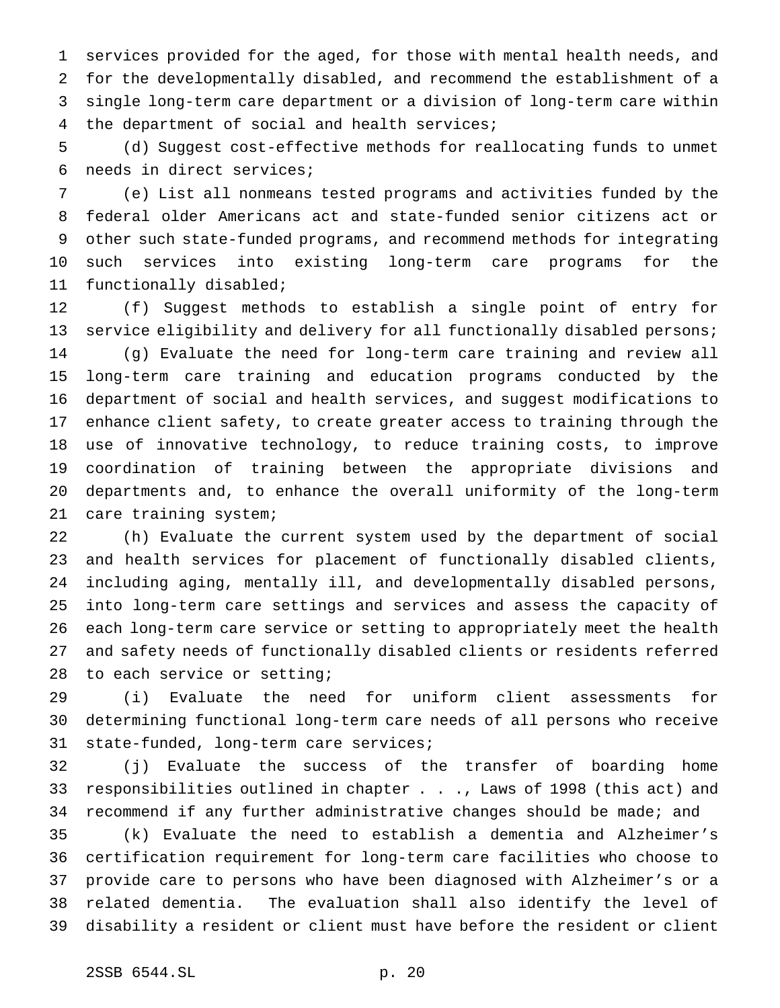services provided for the aged, for those with mental health needs, and for the developmentally disabled, and recommend the establishment of a single long-term care department or a division of long-term care within the department of social and health services;

 (d) Suggest cost-effective methods for reallocating funds to unmet needs in direct services;

 (e) List all nonmeans tested programs and activities funded by the federal older Americans act and state-funded senior citizens act or other such state-funded programs, and recommend methods for integrating such services into existing long-term care programs for the functionally disabled;

 (f) Suggest methods to establish a single point of entry for service eligibility and delivery for all functionally disabled persons; (g) Evaluate the need for long-term care training and review all long-term care training and education programs conducted by the department of social and health services, and suggest modifications to enhance client safety, to create greater access to training through the use of innovative technology, to reduce training costs, to improve coordination of training between the appropriate divisions and departments and, to enhance the overall uniformity of the long-term care training system;

 (h) Evaluate the current system used by the department of social and health services for placement of functionally disabled clients, including aging, mentally ill, and developmentally disabled persons, into long-term care settings and services and assess the capacity of each long-term care service or setting to appropriately meet the health and safety needs of functionally disabled clients or residents referred 28 to each service or setting;

 (i) Evaluate the need for uniform client assessments for determining functional long-term care needs of all persons who receive state-funded, long-term care services;

 (j) Evaluate the success of the transfer of boarding home responsibilities outlined in chapter . . ., Laws of 1998 (this act) and recommend if any further administrative changes should be made; and

 (k) Evaluate the need to establish a dementia and Alzheimer's certification requirement for long-term care facilities who choose to provide care to persons who have been diagnosed with Alzheimer's or a related dementia. The evaluation shall also identify the level of disability a resident or client must have before the resident or client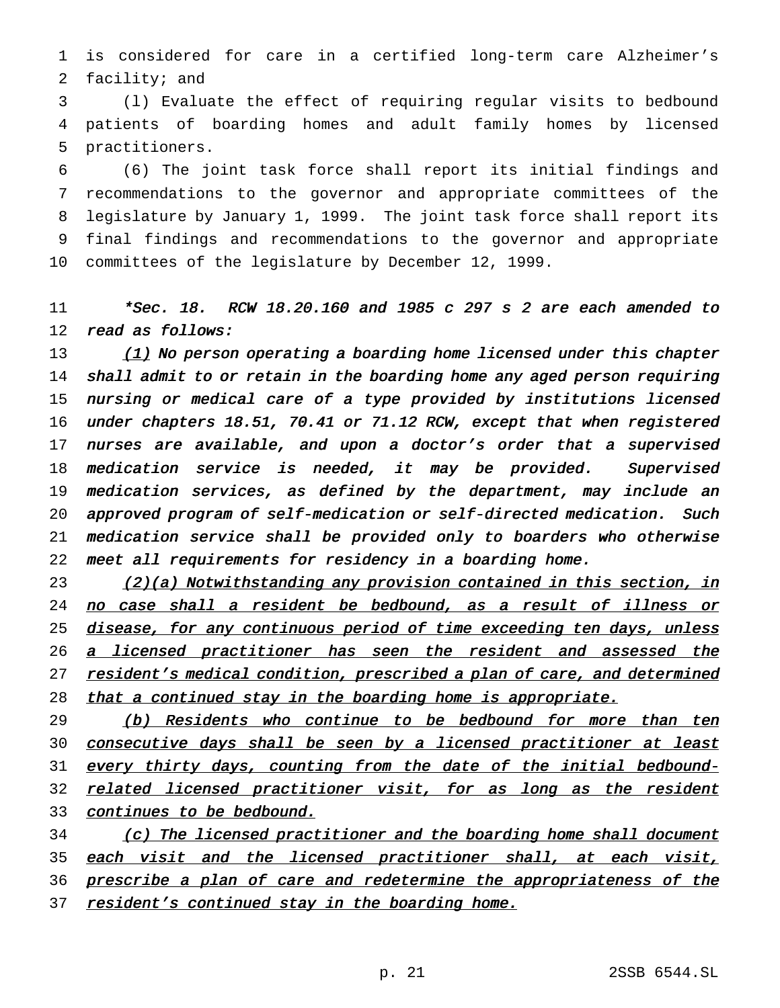1 is considered for care in a certified long-term care Alzheimer's 2 facility; and

3 (l) Evaluate the effect of requiring regular visits to bedbound 4 patients of boarding homes and adult family homes by licensed 5 practitioners.

 (6) The joint task force shall report its initial findings and recommendations to the governor and appropriate committees of the legislature by January 1, 1999. The joint task force shall report its final findings and recommendations to the governor and appropriate committees of the legislature by December 12, 1999.

11 \*Sec. 18. RCW 18.20.160 and <sup>1985</sup> <sup>c</sup> <sup>297</sup> <sup>s</sup> <sup>2</sup> are each amended to 12 read as follows:

 $(1)$  No person operating a boarding home licensed under this chapter 14 shall admit to or retain in the boarding home any aged person requiring nursing or medical care of <sup>a</sup> type provided by institutions licensed under chapters 18.51, 70.41 or 71.12 RCW, except that when registered nurses are available, and upon <sup>a</sup> doctor's order that <sup>a</sup> supervised 18 medication service is needed, it may be provided. Supervised medication services, as defined by the department, may include an approved program of self-medication or self-directed medication. Such medication service shall be provided only to boarders who otherwise meet all requirements for residency in <sup>a</sup> boarding home.

23 (2)(a) Notwithstanding any provision contained in this section, in 24 no case shall a resident be bedbound, as a result of illness or 25 disease, for any continuous period of time exceeding ten days, unless 26 a licensed practitioner has seen the resident and assessed the 27 resident's medical condition, prescribed a plan of care, and determined 28 that a continued stay in the boarding home is appropriate.

29 (b) Residents who continue to be bedbound for more than ten 30 consecutive days shall be seen by a licensed practitioner at least 31 every thirty days, counting from the date of the initial bedbound-32 related licensed practitioner visit, for as long as the resident 33 continues to be bedbound.

34 (c) The licensed practitioner and the boarding home shall document 35 each visit and the licensed practitioner shall, at each visit, 36 prescribe a plan of care and redetermine the appropriateness of the 37 resident's continued stay in the boarding home.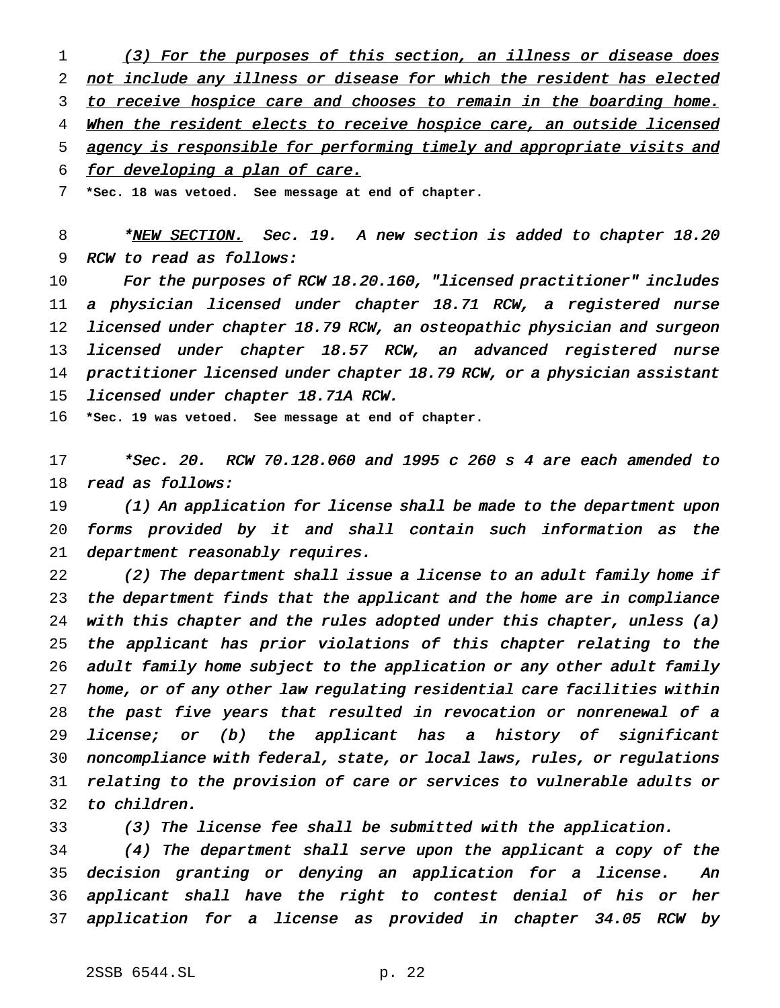1 (3) For the purposes of this section, an illness or disease does not include any illness or disease for which the resident has elected 3 to receive hospice care and chooses to remain in the boarding home. 4 When the resident elects to receive hospice care, an outside licensed agency is responsible for performing timely and appropriate visits and for developing <sup>a</sup> plan of care.

**\*Sec. 18 was vetoed. See message at end of chapter.**

8 \* NEW SECTION. Sec. 19. A new section is added to chapter 18.20 RCW to read as follows:

10 For the purposes of RCW 18.20.160, "licensed practitioner" includes <sup>a</sup> physician licensed under chapter 18.71 RCW, <sup>a</sup> registered nurse licensed under chapter 18.79 RCW, an osteopathic physician and surgeon 13 licensed under chapter 18.57 RCW, an advanced registered nurse practitioner licensed under chapter 18.79 RCW, or <sup>a</sup> physician assistant licensed under chapter 18.71A RCW.

**\*Sec. 19 was vetoed. See message at end of chapter.**

 \*Sec. 20. RCW 70.128.060 and <sup>1995</sup> <sup>c</sup> <sup>260</sup> <sup>s</sup> <sup>4</sup> are each amended to 18 read as follows:

 (1) An application for license shall be made to the department upon forms provided by it and shall contain such information as the 21 department reasonably requires.

 (2) The department shall issue <sup>a</sup> license to an adult family home if the department finds that the applicant and the home are in compliance with this chapter and the rules adopted under this chapter, unless (a) the applicant has prior violations of this chapter relating to the adult family home subject to the application or any other adult family home, or of any other law regulating residential care facilities within the past five years that resulted in revocation or nonrenewal of <sup>a</sup> license; or (b) the applicant has <sup>a</sup> history of significant noncompliance with federal, state, or local laws, rules, or regulations relating to the provision of care or services to vulnerable adults or to children.

(3) The license fee shall be submitted with the application.

 (4) The department shall serve upon the applicant <sup>a</sup> copy of the decision granting or denying an application for <sup>a</sup> license. An applicant shall have the right to contest denial of his or her application for <sup>a</sup> license as provided in chapter 34.05 RCW by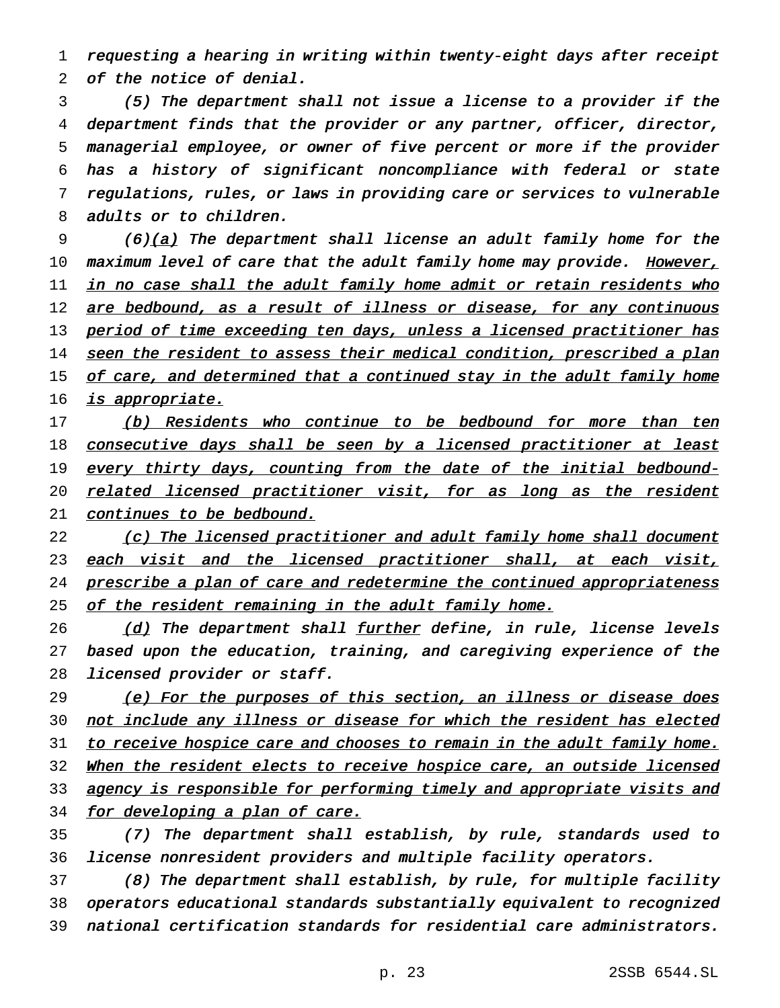1 requesting <sup>a</sup> hearing in writing within twenty-eight days after receipt 2 of the notice of denial.

 (5) The department shall not issue <sup>a</sup> license to <sup>a</sup> provider if the department finds that the provider or any partner, officer, director, managerial employee, or owner of five percent or more if the provider has <sup>a</sup> history of significant noncompliance with federal or state regulations, rules, or laws in providing care or services to vulnerable adults or to children.

9 (6)(a) The department shall license an adult family home for the 10 maximum level of care that the adult family home may provide. However, 11 <u>in no case shall the adult family home admit or retain residents who</u> 12 are bedbound, as a result of illness or disease, for any continuous 13 period of time exceeding ten days, unless a licensed practitioner has 14 seen the resident to assess their medical condition, prescribed a plan 15 of care, and determined that a continued stay in the adult family home 16 *is appropriate.* 

17 (b) Residents who continue to be bedbound for more than ten 18 consecutive days shall be seen by a licensed practitioner at least 19 every thirty days, counting from the date of the initial bedbound-20 related licensed practitioner visit, for as long as the resident 21 continues to be bedbound.

22 (c) The licensed practitioner and adult family home shall document 23 each visit and the licensed practitioner shall, at each visit, 24 prescribe a plan of care and redetermine the continued appropriateness 25 of the resident remaining in the adult family home.

26 (d) The department shall further define, in rule, license levels 27 based upon the education, training, and caregiving experience of the 28 licensed provider or staff.

29 (e) For the purposes of this section, an illness or disease does 30 not include any illness or disease for which the resident has elected 31 to receive hospice care and chooses to remain in the adult family home. 32 When the resident elects to receive hospice care, an outside licensed 33 agency is responsible for performing timely and appropriate visits and 34 for developing a plan of care.

35 (7) The department shall establish, by rule, standards used to 36 license nonresident providers and multiple facility operators.

37 (8) The department shall establish, by rule, for multiple facility 38 operators educational standards substantially equivalent to recognized 39 national certification standards for residential care administrators.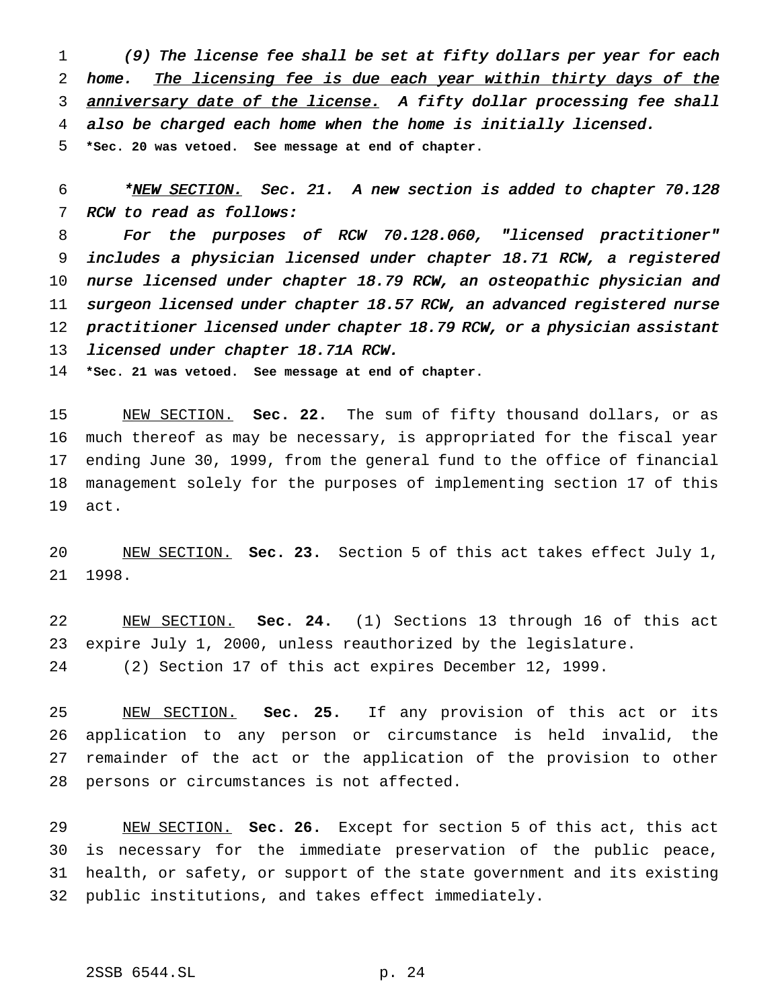(9) The license fee shall be set at fifty dollars per year for each home. The licensing fee is due each year within thirty days of the 3 anniversary date of the license. A fifty dollar processing fee shall also be charged each home when the home is initially licensed. **\*Sec. 20 was vetoed. See message at end of chapter.**

6 \*NEW SECTION. Sec. 21. A new section is added to chapter 70.128 RCW to read as follows:

 For the purposes of RCW 70.128.060, "licensed practitioner" includes <sup>a</sup> physician licensed under chapter 18.71 RCW, <sup>a</sup> registered nurse licensed under chapter 18.79 RCW, an osteopathic physician and surgeon licensed under chapter 18.57 RCW, an advanced registered nurse practitioner licensed under chapter 18.79 RCW, or <sup>a</sup> physician assistant 13 licensed under chapter 18.71A RCW.

**\*Sec. 21 was vetoed. See message at end of chapter.**

 NEW SECTION. **Sec. 22.** The sum of fifty thousand dollars, or as much thereof as may be necessary, is appropriated for the fiscal year ending June 30, 1999, from the general fund to the office of financial management solely for the purposes of implementing section 17 of this act.

 NEW SECTION. **Sec. 23.** Section 5 of this act takes effect July 1, 1998.

 NEW SECTION. **Sec. 24.** (1) Sections 13 through 16 of this act expire July 1, 2000, unless reauthorized by the legislature. (2) Section 17 of this act expires December 12, 1999.

 NEW SECTION. **Sec. 25.** If any provision of this act or its application to any person or circumstance is held invalid, the remainder of the act or the application of the provision to other persons or circumstances is not affected.

 NEW SECTION. **Sec. 26.** Except for section 5 of this act, this act is necessary for the immediate preservation of the public peace, health, or safety, or support of the state government and its existing public institutions, and takes effect immediately.

# 2SSB 6544.SL p. 24